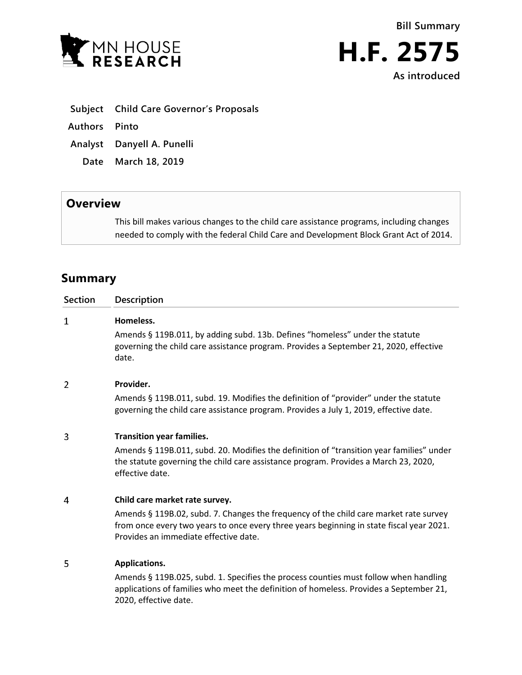



**Subject Child Care Governor's Proposals**

**Authors Pinto**

**Analyst Danyell A. Punelli**

**Date March 18, 2019**

## **Overview**

This bill makes various changes to the child care assistance programs, including changes needed to comply with the federal Child Care and Development Block Grant Act of 2014.

# **Summary**

| <b>Section</b> | <b>Description</b>                                                                                                                                                                                                         |
|----------------|----------------------------------------------------------------------------------------------------------------------------------------------------------------------------------------------------------------------------|
| $\mathbf{1}$   | Homeless.                                                                                                                                                                                                                  |
|                | Amends § 119B.011, by adding subd. 13b. Defines "homeless" under the statute<br>governing the child care assistance program. Provides a September 21, 2020, effective<br>date.                                             |
| 2              | Provider.                                                                                                                                                                                                                  |
|                | Amends § 119B.011, subd. 19. Modifies the definition of "provider" under the statute<br>governing the child care assistance program. Provides a July 1, 2019, effective date.                                              |
| 3              | <b>Transition year families.</b>                                                                                                                                                                                           |
|                | Amends § 119B.011, subd. 20. Modifies the definition of "transition year families" under<br>the statute governing the child care assistance program. Provides a March 23, 2020,<br>effective date.                         |
| 4              | Child care market rate survey.                                                                                                                                                                                             |
|                | Amends § 119B.02, subd. 7. Changes the frequency of the child care market rate survey<br>from once every two years to once every three years beginning in state fiscal year 2021.<br>Provides an immediate effective date. |
| 5              | Applications.                                                                                                                                                                                                              |
|                | Amends § 119B.025, subd. 1. Specifies the process counties must follow when handling<br>applications of families who meet the definition of homeless. Provides a September 21,<br>2020, effective date.                    |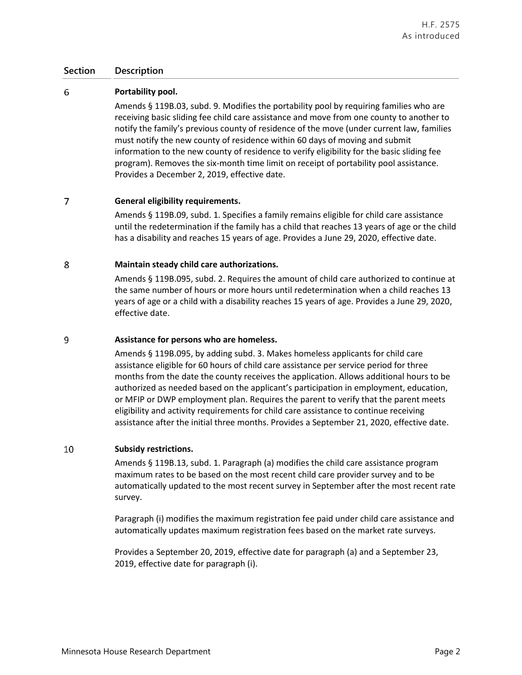### **Section Description**

#### 6 **Portability pool.**

Amends § 119B.03, subd. 9. Modifies the portability pool by requiring families who are receiving basic sliding fee child care assistance and move from one county to another to notify the family's previous county of residence of the move (under current law, families must notify the new county of residence within 60 days of moving and submit information to the new county of residence to verify eligibility for the basic sliding fee program). Removes the six-month time limit on receipt of portability pool assistance. Provides a December 2, 2019, effective date.

#### $\overline{7}$ **General eligibility requirements.**

Amends § 119B.09, subd. 1. Specifies a family remains eligible for child care assistance until the redetermination if the family has a child that reaches 13 years of age or the child has a disability and reaches 15 years of age. Provides a June 29, 2020, effective date.

#### 8 **Maintain steady child care authorizations.**

Amends § 119B.095, subd. 2. Requires the amount of child care authorized to continue at the same number of hours or more hours until redetermination when a child reaches 13 years of age or a child with a disability reaches 15 years of age. Provides a June 29, 2020, effective date.

#### 9 **Assistance for persons who are homeless.**

Amends § 119B.095, by adding subd. 3. Makes homeless applicants for child care assistance eligible for 60 hours of child care assistance per service period for three months from the date the county receives the application. Allows additional hours to be authorized as needed based on the applicant's participation in employment, education, or MFIP or DWP employment plan. Requires the parent to verify that the parent meets eligibility and activity requirements for child care assistance to continue receiving assistance after the initial three months. Provides a September 21, 2020, effective date.

#### 10 **Subsidy restrictions.**

Amends § 119B.13, subd. 1. Paragraph (a) modifies the child care assistance program maximum rates to be based on the most recent child care provider survey and to be automatically updated to the most recent survey in September after the most recent rate survey.

Paragraph (i) modifies the maximum registration fee paid under child care assistance and automatically updates maximum registration fees based on the market rate surveys.

Provides a September 20, 2019, effective date for paragraph (a) and a September 23, 2019, effective date for paragraph (i).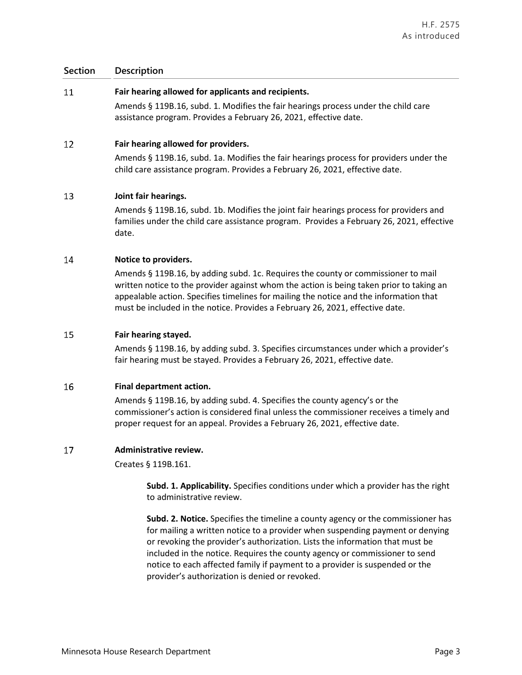### **Section Description**

#### 11 **Fair hearing allowed for applicants and recipients.**

Amends § 119B.16, subd. 1. Modifies the fair hearings process under the child care assistance program. Provides a February 26, 2021, effective date.

#### 12 **Fair hearing allowed for providers.**

Amends § 119B.16, subd. 1a. Modifies the fair hearings process for providers under the child care assistance program. Provides a February 26, 2021, effective date.

#### 13 **Joint fair hearings.**

Amends § 119B.16, subd. 1b. Modifies the joint fair hearings process for providers and families under the child care assistance program. Provides a February 26, 2021, effective date.

#### 14 **Notice to providers.**

Amends § 119B.16, by adding subd. 1c. Requires the county or commissioner to mail written notice to the provider against whom the action is being taken prior to taking an appealable action. Specifies timelines for mailing the notice and the information that must be included in the notice. Provides a February 26, 2021, effective date.

#### 15 **Fair hearing stayed.**

Amends § 119B.16, by adding subd. 3. Specifies circumstances under which a provider's fair hearing must be stayed. Provides a February 26, 2021, effective date.

#### 16 **Final department action.**

Amends § 119B.16, by adding subd. 4. Specifies the county agency's or the commissioner's action is considered final unless the commissioner receives a timely and proper request for an appeal. Provides a February 26, 2021, effective date.

#### 17 **Administrative review.**

Creates § 119B.161.

**Subd. 1. Applicability.** Specifies conditions under which a provider has the right to administrative review.

**Subd. 2. Notice.** Specifies the timeline a county agency or the commissioner has for mailing a written notice to a provider when suspending payment or denying or revoking the provider's authorization. Lists the information that must be included in the notice. Requires the county agency or commissioner to send notice to each affected family if payment to a provider is suspended or the provider's authorization is denied or revoked.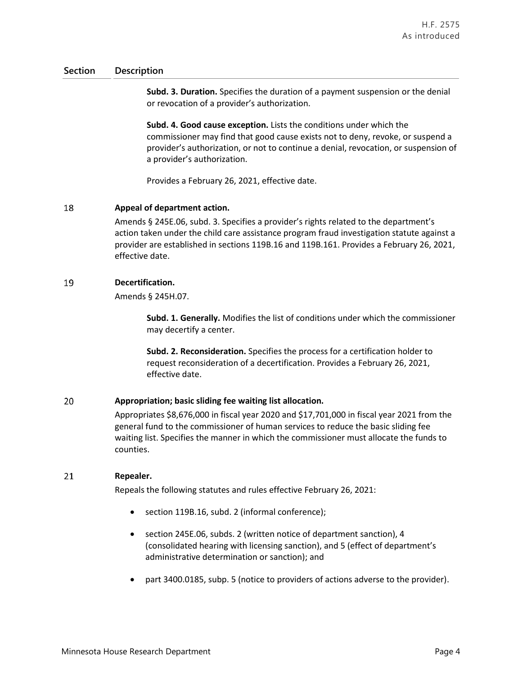### **Section Description**

**Subd. 3. Duration.** Specifies the duration of a payment suspension or the denial or revocation of a provider's authorization.

**Subd. 4. Good cause exception.** Lists the conditions under which the commissioner may find that good cause exists not to deny, revoke, or suspend a provider's authorization, or not to continue a denial, revocation, or suspension of a provider's authorization.

Provides a February 26, 2021, effective date.

#### 18 **Appeal of department action.**

Amends § 245E.06, subd. 3. Specifies a provider's rights related to the department's action taken under the child care assistance program fraud investigation statute against a provider are established in sections 119B.16 and 119B.161. Provides a February 26, 2021, effective date.

#### 19 **Decertification.**

Amends § 245H.07.

**Subd. 1. Generally.** Modifies the list of conditions under which the commissioner may decertify a center.

**Subd. 2. Reconsideration.** Specifies the process for a certification holder to request reconsideration of a decertification. Provides a February 26, 2021, effective date.

#### 20 **Appropriation; basic sliding fee waiting list allocation.**

Appropriates \$8,676,000 in fiscal year 2020 and \$17,701,000 in fiscal year 2021 from the general fund to the commissioner of human services to reduce the basic sliding fee waiting list. Specifies the manner in which the commissioner must allocate the funds to counties.

#### 21 **Repealer.**

Repeals the following statutes and rules effective February 26, 2021:

- section 119B.16, subd. 2 (informal conference);
- section 245E.06, subds. 2 (written notice of department sanction), 4 (consolidated hearing with licensing sanction), and 5 (effect of department's administrative determination or sanction); and
- part 3400.0185, subp. 5 (notice to providers of actions adverse to the provider).